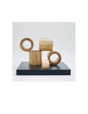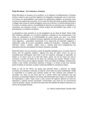## **Paulo Riccobene –** *De Contrastes y Armonías*

Paulo Riccobene se reconoce en la escultura: es el volumen, lo tridimensional, el formato artístico expresivo que le permite legitimar las búsquedas conceptuales que lo atraviesan. Las formas, las materialidades como soporte de significados múltiples, se presentan como un terreno de exploración recurrente. Es así como las obras del artista se plantea reflexionar e indagar sobre temas de interés primigenio como son el devenir, la actitud asumida frente a lo incierto, la mirada creativa, la posibilidad de elección, las opciones que se multiplican y claramente, una impronta cercana a criterios propios del psicoanálisis que asisten a sus pensamientos y se traducen en objetos.

La geometría se hace presente en un rol protagónico en las obras de Paulo. Piezas todas ellas sintéticas, delicadas, en su mayoría simétricas, refinadas en sus terminaciones y con cierto eco minimalista en la intencionalidad de contar mucho con poco. Las formas construyen los relatos en medianos formatos siguiendo una línea abstracta -y algunas pocas veces figurativa-, apoyándose fuertemente en la interacción de materiales orgánicos e industriales, todos de un peso contundente: maderas de Guayubira , Guatambú, la Mara boliviana, hierro, cemento, piedra, cuero y mármol, entre otros complementan sus naturalezas diversas articulándose de manera finamente calculada.

Paulo Riccobene crea sus universos a partir de pequeñas unidades que en su unión, hacen la fuerza. Son los pequeños módulos –algunos con alma de *object trouvé*- los que se ensamblan para interrogarse entre ellos y por ley transitiva, interrogar al espectador. El tiempo es un factor clave en la obra del artista, quizás uno de los temas que más lo convocan y muchos de títulos de las obras nos anticipan esta mirada: *Tiempo circular, Yendo, Entre horas*, por dar algunos ejemplos. Otras nos hablan de diálogos, modulaciones, vueltas y más vueltas; nuevamente alusiones al tiempo y la forma en que esos vínculos ponen el énfasis en encontrar un punto común que habilite la coexistencia mutua.

Paulo se vale de los ritmos, las pausas que articulan frases y silencios. Su trabajo curvilíneo, de contrastes y armonías, no deja de volver sobre ese punto fundamental donde la creatividad es el camino para ejercitar puntos de vista comunes para enfrentar lo inevitable. Las obras no nos dicen qué ver y mucho menos qué interpretar sino que presentan un entramado dinámico de formas interrelacionadas que invitan a las miradas de los espectadores a subir y bajar, entrar y salir, recorrer los espacios abiertos así como los intersticios y generar lecturas personales, inconscientes, que nacen de esa conversación visual de texturas. Quizás, una suerte de proyección del enjambre de debates inherentes a la esencia de la psiquis humana.

Lic. María Carolina Baulo, Octubre 2020